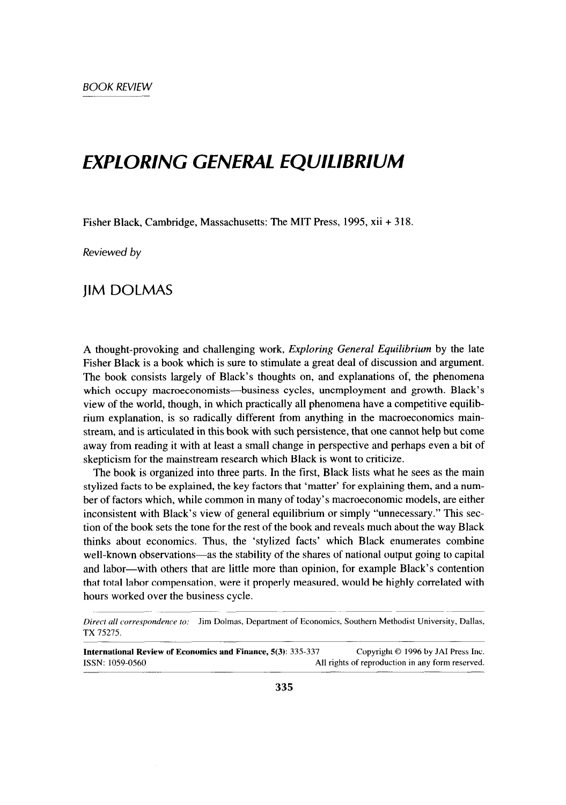## *EXPLORING GENERAL EQUILIBRIUM*

Fisher Black, Cambridge, Massachusetts: The MIT Press, 1995, xii + 318.

*Reviewed by* 

## **IIM DOLMAS**

A thought-provoking and challenging work, *Exploring General Equilibrium* by the late Fisher Black is a book which is sure to stimulate a great deal of discussion and argument. The book consists largely of Black's thoughts on, and explanations of, the phenomena which occupy macroeconomists—business cycles, unemployment and growth. Black's view of the world, though, in which practically all phenomena have a competitive equilibrium explanation, is so radically different from anything in the macroeconomics mainstream, and is articulated in this book with such persistence, that one cannot help but come away from reading it with at least a small change in perspective and perhaps even a bit of skepticism for the mainstream research which Black is wont to criticize.

The book is organized into three parts. In the first, Black lists what he sees as the main stylized facts to be explained, the key factors that 'matter' for explaining them, and a number of factors which, while common in many of today's macroeconomic models, are either inconsistent with Black's view of general equilibrium or simply "unnecessary." This section of the book sets the tone for the rest of the book and reveals much about the way Black thinks about economics. Thus, the 'stylized facts' which Black enumerates combine well-known observations—as the stability of the shares of national output going to capital and labor-with others that are little more than opinion, for example Black's contention that total labor compensation, were it properly measured, would be highly correlated with hours worked over the business cycle.

**International Review of Economics and Finance, 5(3):** 335-337 Copyright © 1996 by JAI Press Inc. ISSN: 1059-0560 All rights of reproduction in any form resewed.

*Direct all correqwndence to:* Jim Dolmas, Department of Economics, Southern Methodist University, Dallas, TX 75275.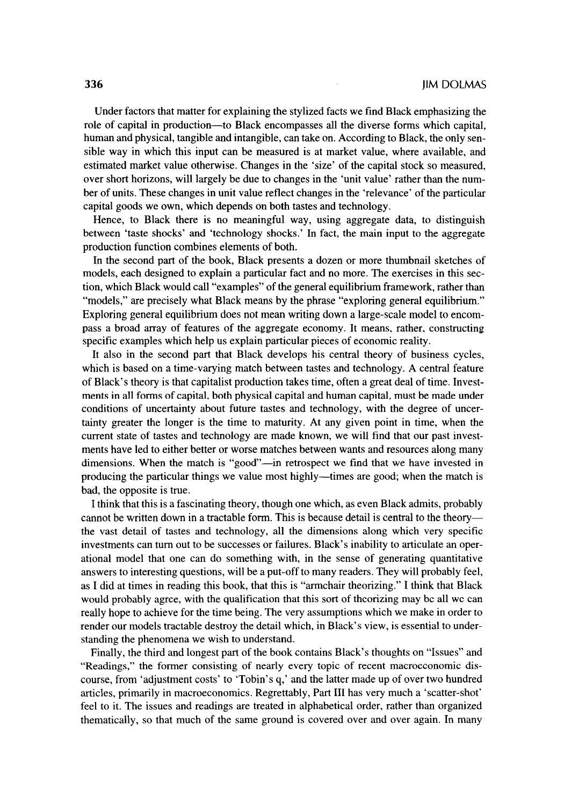Under factors that matter for explaining the stylized facts we find Black emphasizing the role of capital in production-to Black encompasses all the diverse forms which capital, human and physical, tangible and intangible, can take on. According to Black, the only sensible way in which this input can be measured is at market value, where available, and estimated market value otherwise. Changes in the 'size' of the capital stock so measured, over short horizons, will largely be due to changes in the 'unit value' rather than the number of units. These changes in unit value reflect changes in the 'relevance' of the particular capital goods we own, which depends on both tastes and technology.

Hence, to Black there is no meaningful way, using aggregate data, to distinguish between 'taste shocks' and 'technology shocks.' In fact, the main input to the aggregate production function combines elements of both.

In the second part of the book, Black presents a dozen or more thumbnail sketches of models, each designed to explain a particular fact and no more. The exercises in this section, which Black would call "examples" of the general equilibrium framework, rather than "models," are precisely what Black means by the phrase "exploring general equilibrium." Exploring general equilibrium does not mean writing down a large-scale model to encompass a broad array of features of the aggregate economy. It means, rather, constructing specific examples which help us explain particular pieces of economic reality.

It also in the second part that Black develops his central theory of business cycles, which is based on a time-varying match between tastes and technology. A central feature of Black's theory is that capitalist production takes time, often a great deal of time. Investments in all forms of capital, both physical capital and human capital, must be made under conditions of uncertainty about future tastes and technology, with the degree of uncertainty greater the longer is the time to maturity. At any given point in time, when the current state of tastes and technology are made known, we will find that our past investments have led to either better or worse matches between wants and resources along many dimensions. When the match is "good"—in retrospect we find that we have invested in producing the particular things we value most highly-times are good; when the match is bad, the opposite is true.

I think that this is a fascinating theory, though one which, as even Black admits, probably cannot be written down in a tractable form. This is because detail is central to the theorythe vast detail of tastes and technology, all the dimensions along which very specific investments can turn out to be successes or failures. Black's inability to articulate an operational model that one can do something with, in the sense of generating quantitative answers to interesting questions, will be a put-off to many readers. They will probably feel, as I did at times in reading this book, that this is "armchair theorizing." I think that Black would probably agree, with the qualification that this sort of theorizing may be all we can really hope to achieve for the time being. The very assumptions which we make in order to render our models tractable destroy the detail which, in Black's view, is essential to understanding the phenomena we wish to understand.

Finally, the third and longest part of the book contains Black's thoughts on "Issues" and "Readings," the former consisting of nearly every topic of recent macroeconomic discourse, from 'adjustment costs' to 'Tobin's q,' and the latter made up of over two hundred articles, primarily in macroeconomics. Regrettably, Part III has very much a 'scatter-shot' feel to it. The issues and readings are treated in alphabetical order, rather than organized thematically, so that much of the same ground is covered over and over again. In many